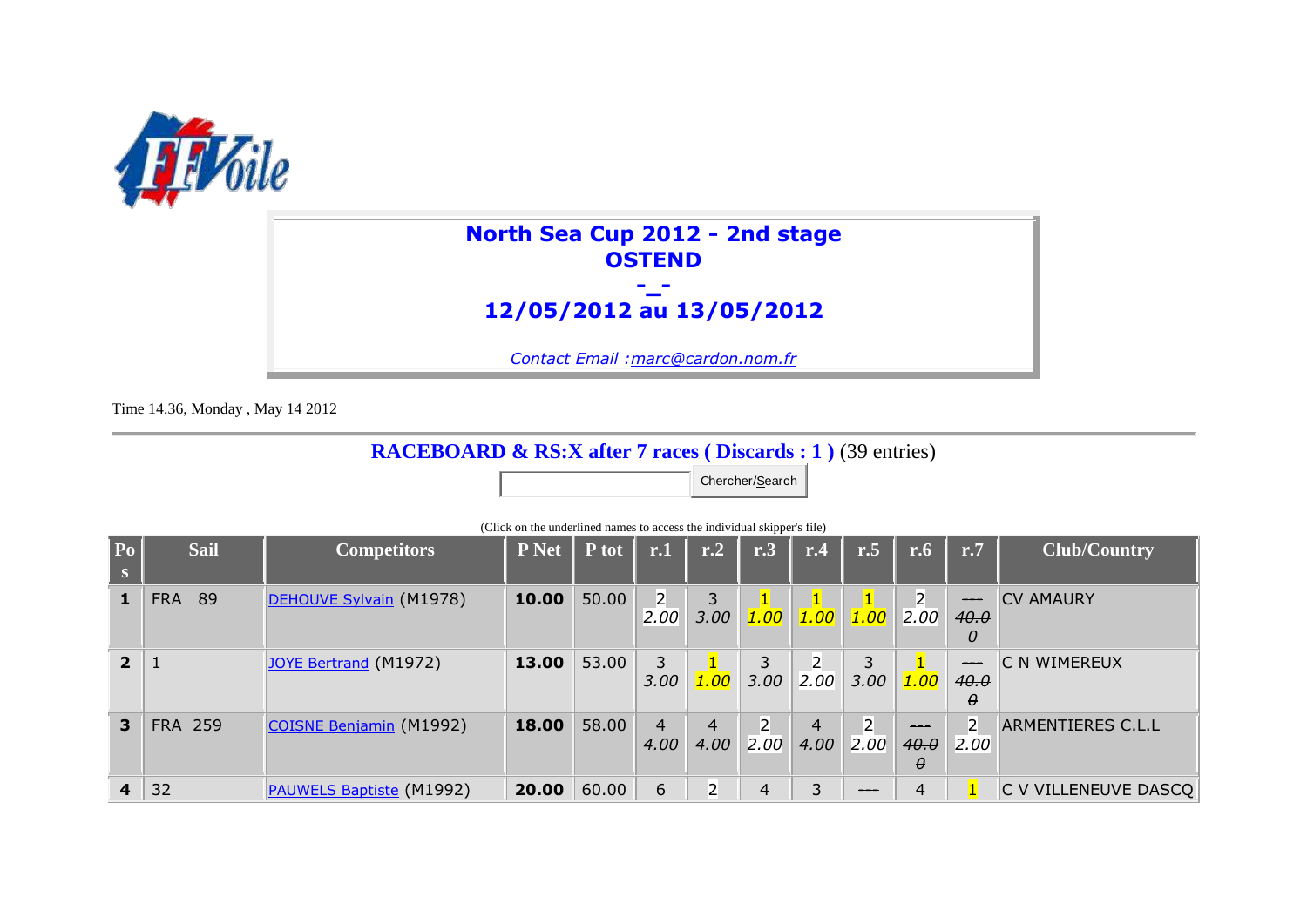

## **North Sea Cup 2012 - 2nd stage OSTEND -\_-**

## **12/05/2012 au 13/05/2012**

*Contact Email :marc@cardon.nom.fr*

Time 14.36, Monday , May 14 2012

## **RACEBOARD & RS:X after 7 races ( Discards : 1 )** (39 entries)

Chercher/Search

| $  \mathbf{p_0}  $<br>S | <b>Sail</b>    | <b>Competitors</b>              | <b>P</b> Net | P tot | r.1                    | r.2                    | r.3                    | r.4                     | r.5                               | r.6                         | r.7                                   | <b>Club/Country</b>      |
|-------------------------|----------------|---------------------------------|--------------|-------|------------------------|------------------------|------------------------|-------------------------|-----------------------------------|-----------------------------|---------------------------------------|--------------------------|
|                         | <b>FRA 89</b>  | DEHOUVE Sylvain (M1978)         | 10.00        | 50.00 | $2^{\circ}$<br>2.00    | 3.00                   | 1.00                   | $\vert 1 \vert$<br>1.00 | $\vert$ 1.00 $\vert$ 2.00 $\vert$ |                             | $\frac{1}{1}$<br>40.0<br>$\theta$     | <b>CV AMAURY</b>         |
| 2 <sup>1</sup>          |                | <b>JOYE Bertrand (M1972)</b>    | 13.00        | 53.00 | 3<br>3.00              | 1.00                   | 3<br>3.00              | $\overline{2}$<br>2.00  | 3<br>3.00                         | 1.00                        | $\hspace{0.05cm}$<br>40.0<br>$\theta$ | <b>C N WIMEREUX</b>      |
| 3                       | <b>FRA 259</b> | COISNE Benjamin (M1992)         | 18.00        | 58.00 | $\overline{4}$<br>4.00 | $\overline{4}$<br>4.00 | $\overline{2}$<br>2,00 | $\overline{4}$<br>4.00  | $\overline{2}$<br> 2.00           | $- - -$<br>40.0<br>$\theta$ | 2<br>2.00                             | <b>ARMENTIERES C.L.L</b> |
| $\overline{4}$          | 32             | <b>PAUWELS Baptiste (M1992)</b> | 20.00        | 60.00 | 6                      | $\overline{2}$         | 4                      | 3                       | ---                               | $\overline{4}$              |                                       | C V VILLENEUVE DASCQ     |

(Click on the underlined names to access the individual skipper's file)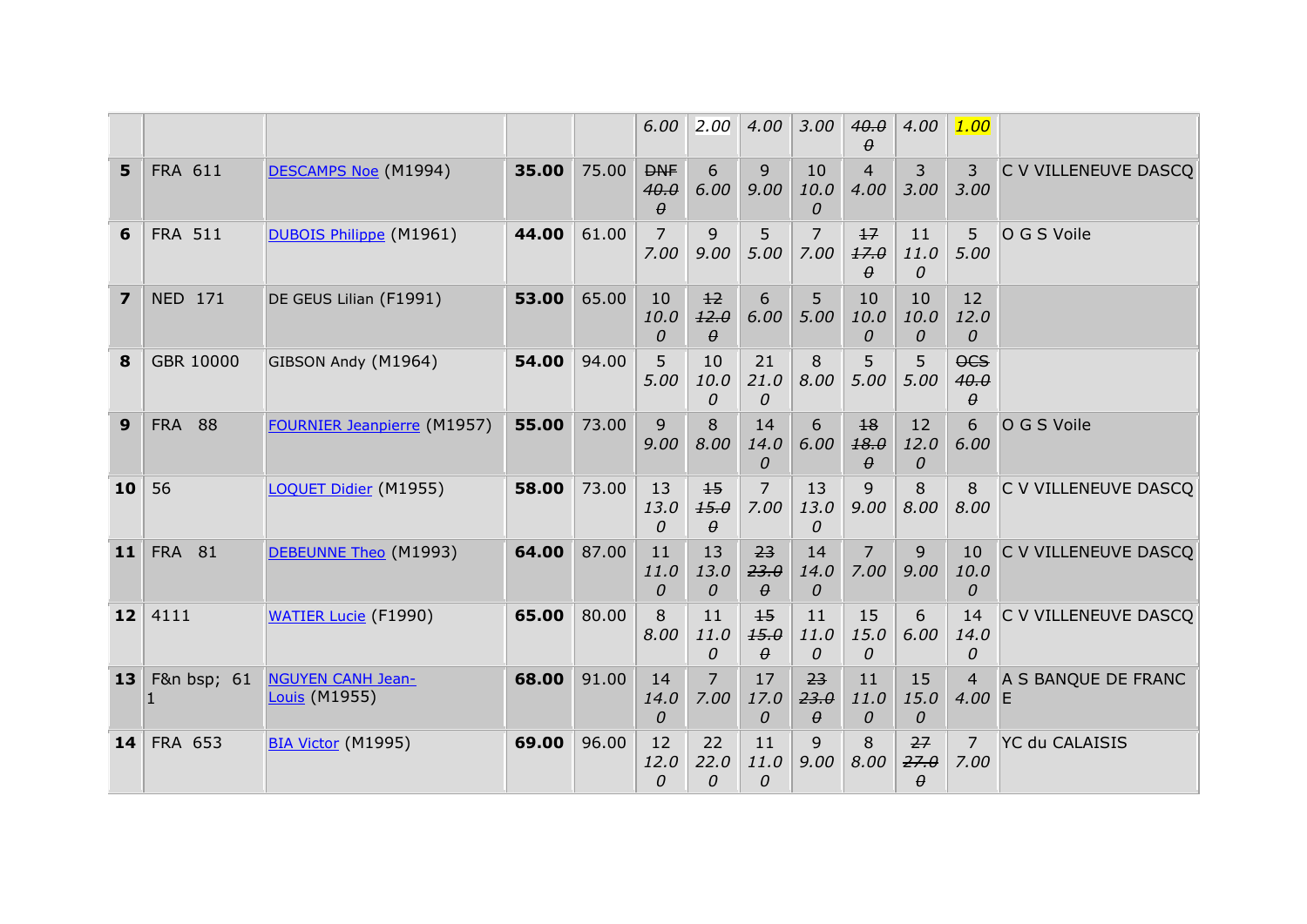|                |                |                                           |       |       | 6.00                           | 2.00                     | 4.00                     | 3.00                   | 40.0                     | 4.00                   | 1.00                                 |                       |
|----------------|----------------|-------------------------------------------|-------|-------|--------------------------------|--------------------------|--------------------------|------------------------|--------------------------|------------------------|--------------------------------------|-----------------------|
| 5              | FRA 611        | DESCAMPS Noe (M1994)                      | 35.00 | 75.00 | <b>DNF</b><br>40.0<br>$\theta$ | 6<br>6.00                | 9<br>9,00                | 10<br>10.0<br>0        | 4<br>4.00                | 3<br>3.00              | 3<br>3.00                            | C V VILLENEUVE DASCO  |
| 6              | <b>FRA 511</b> | DUBOIS Philippe (M1961)                   | 44.00 | 61.00 | 7<br>7.00                      | 9<br>9.00                | 5.<br>5.00               | 7<br>7.00              | $+7$<br>17.0<br>$\theta$ | 11<br>11.0<br>$\Omega$ | 5<br>5.00                            | O G S Voile           |
| $\overline{ }$ | <b>NED 171</b> | DE GEUS Lilian (F1991)                    | 53.00 | 65.00 | 10<br>10.0<br>$\Omega$         | 12<br>12.0<br>$\theta$   | 6<br>6.00                | 5<br>5.00              | 10<br>10.0<br>0          | 10<br>10.0<br>0        | 12<br>12.0<br>0                      |                       |
| 8              | GBR 10000      | GIBSON Andy (M1964)                       | 54.00 | 94.00 | 5<br>5.00                      | 10<br>10.0<br>$\Omega$   | 21<br>21.0<br>0          | 8<br>8.00              | 5<br>5.00                | 5<br>5.00              | $\overline{OCS}$<br>40.0<br>$\theta$ |                       |
| 9              | <b>FRA 88</b>  | <b>FOURNIER Jeanpierre (M1957)</b>        | 55.00 | 73.00 | 9<br>9.00                      | 8<br>8.00                | 14<br>14.0<br>0          | 6<br>6.00              | 18<br>18.0<br>$\theta$   | 12<br>12.0<br>$\Omega$ | 6<br>6.00                            | O G S Voile           |
| 10             | 56             | LOQUET Didier (M1955)                     | 58.00 | 73.00 | 13<br>13.0<br>$\Omega$         | $+5$<br>15.0<br>$\theta$ | $\overline{7}$<br>7.00   | 13<br>13.0<br>$\Omega$ | 9<br>9.00                | 8<br>8.00              | 8<br>8.00                            | C V VILLENEUVE DASCQ  |
| 11             | <b>FRA 81</b>  | DEBEUNNE Theo (M1993)                     | 64.00 | 87.00 | 11<br>11.0<br>$\Omega$         | 13<br>13.0<br>$\Omega$   | 23<br>23.0<br>$\theta$   | 14<br>14.0<br>$\Omega$ | $\overline{7}$<br>7.00   | 9<br>9.00              | 10<br>10.0<br>$\Omega$               | C V VILLENEUVE DASCO  |
| 12             | 4111           | <b>WATIER Lucie (F1990)</b>               | 65.00 | 80.00 | 8<br>8.00                      | 11<br>11.0<br>$\Omega$   | $+5$<br>15.0<br>$\theta$ | 11<br>11.0<br>0        | 15<br>15.0<br>0          | 6<br>6.00              | 14<br>14.0<br>$\Omega$               | C V VILLENEUVE DASCQ  |
| 13             | F&n bsp; 61    | <b>NGUYEN CANH Jean-</b><br>Louis (M1955) | 68.00 | 91.00 | 14<br>14.0<br>$\Omega$         | $\overline{7}$<br>7.00   | 17<br>17.0<br>0          | 23<br>23.0<br>$\theta$ | 11<br>11.0<br>0          | 15<br>15.0<br>0        | 4<br>4.00 E                          | A S BANQUE DE FRANC   |
| 14             | <b>FRA 653</b> | <b>BIA Victor (M1995)</b>                 | 69.00 | 96.00 | 12<br>12.0<br>0                | 22<br>22.0<br>0          | 11<br>11.0<br>0          | 9<br>9.00              | 8<br>8.00                | 27<br>27.0<br>$\theta$ | $\overline{7}$<br>7.00               | <b>YC du CALAISIS</b> |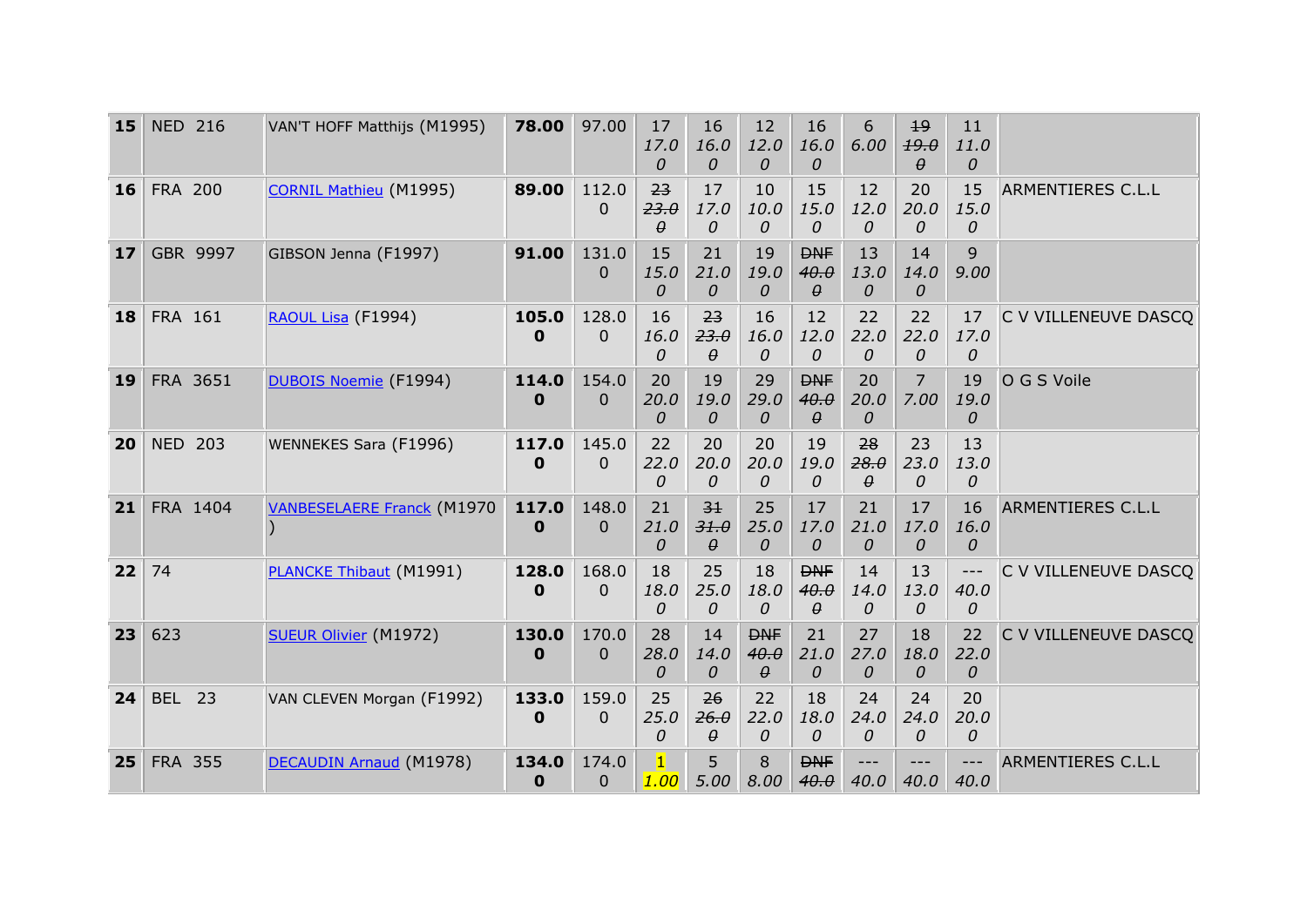| 15 | <b>NED 216</b> | VAN'T HOFF Matthijs (M1995)       | 78.00                | 97.00             | 17<br>17.0<br>$\Omega$ | 16<br>16.0<br>$\theta$             | 12<br>12.0<br>0                | 16<br>16.0<br>$\Omega$         | 6<br>6.00              | 19<br>19.0<br>$\theta$ | 11<br>11.0<br>0      |                          |
|----|----------------|-----------------------------------|----------------------|-------------------|------------------------|------------------------------------|--------------------------------|--------------------------------|------------------------|------------------------|----------------------|--------------------------|
| 16 | <b>FRA 200</b> | <b>CORNIL Mathieu (M1995)</b>     | 89.00                | 112.0<br>$\Omega$ | 23<br>23.0<br>$\theta$ | 17<br>17.0<br>$\Omega$             | 10<br>10.0<br>0                | 15<br>15.0<br>$\Omega$         | 12<br>12.0<br>0        | 20<br>20.0<br>$\Omega$ | 15<br>15.0<br>0      | <b>ARMENTIERES C.L.L</b> |
| 17 | GBR 9997       | GIBSON Jenna (F1997)              | 91.00                | 131.0<br>0        | 15<br>15.0<br>$\Omega$ | 21<br>21.0<br>$\theta$             | 19<br>19.0<br>0                | <b>DNF</b><br>40.0<br>$\theta$ | 13<br>13.0<br>0        | 14<br>14.0<br>$\theta$ | $\mathsf{Q}$<br>9.00 |                          |
| 18 | FRA 161        | RAOUL Lisa (F1994)                | 105.0<br>0           | 128.0<br>$\Omega$ | 16<br>16.0<br>$\Omega$ | 23<br>23.0<br>$\theta$             | 16<br>16.0<br>0                | 12<br>12.0<br>0                | 22<br>22.0<br>0        | 22<br>22.0<br>$\Omega$ | 17<br>17.0<br>0      | C V VILLENEUVE DASCO     |
| 19 | FRA 3651       | DUBOIS Noemie (F1994)             | 114.0<br>0           | 154.0<br>$\Omega$ | 20<br>20.0<br>$\Omega$ | 19<br>19.0<br>$\theta$             | 29<br>29.0<br>0                | <b>DNF</b><br>40.0<br>$\theta$ | 20<br>20.0<br>0        | 7<br>7.00              | 19<br>19.0<br>0      | O G S Voile              |
| 20 | <b>NED 203</b> | <b>WENNEKES Sara (F1996)</b>      | 117.0<br>$\mathbf 0$ | 145.0<br>$\Omega$ | 22<br>22.0<br>0        | 20<br>20.0<br>$\Omega$             | 20<br>20.0<br>0                | 19<br>19.0<br>0                | 28<br>28.0<br>$\theta$ | 23<br>23.0<br>$\Omega$ | 13<br>13.0<br>0      |                          |
| 21 | FRA 1404       | <b>VANBESELAERE Franck (M1970</b> | 117.0<br>$\mathbf 0$ | 148.0<br>$\Omega$ | 21<br>21.0<br>$\Omega$ | 3 <sup>1</sup><br>31.0<br>$\theta$ | 25<br>25.0<br>0                | 17<br>17.0<br>0                | 21<br>21.0<br>0        | 17<br>17.0<br>$\theta$ | 16<br>16.0<br>0      | <b>ARMENTIERES C.L.L</b> |
| 22 | 74             | <b>PLANCKE Thibaut (M1991)</b>    | 128.0<br>0           | 168.0<br>$\Omega$ | 18<br>18.0<br>0        | 25<br>25.0<br>$\Omega$             | 18<br>18.0<br>$\Omega$         | <b>DNF</b><br>40.0<br>$\theta$ | 14<br>14.0<br>0        | 13<br>13.0<br>0        | $---$<br>40.0<br>0   | C V VILLENEUVE DASCQ     |
| 23 | 623            | <b>SUEUR Olivier (M1972)</b>      | 130.0<br>0           | 170.0<br>$\Omega$ | 28<br>28.0<br>0        | 14<br>14.0<br>$\theta$             | <b>DNF</b><br>40.0<br>$\theta$ | 21<br>21.0<br>0                | 27<br>27.0<br>0        | 18<br>18.0<br>0        | 22<br>22.0<br>0      | C V VILLENEUVE DASCQ     |
| 24 | <b>BEL 23</b>  | VAN CLEVEN Morgan (F1992)         | 133.0<br>0           | 159.0<br>$\Omega$ | 25<br>25.0<br>$\Omega$ | 26<br>26.0<br>$\theta$             | 22<br>22.0<br>0                | 18<br>18.0<br>$\Omega$         | 24<br>24.0<br>0        | 24<br>24.0<br>$\Omega$ | 20<br>20.0<br>0      |                          |
| 25 | <b>FRA 355</b> | DECAUDIN Arnaud (M1978)           | 134.0<br>0           | 174.0<br>0        | $\mathbf{1}$<br>1.00   | 5<br>5.00                          | 8<br>8.00                      | <b>DNF</b><br>40.0             | $---$<br>40.0          | ---<br>40.0            | ---<br>40.0          | <b>ARMENTIERES C.L.L</b> |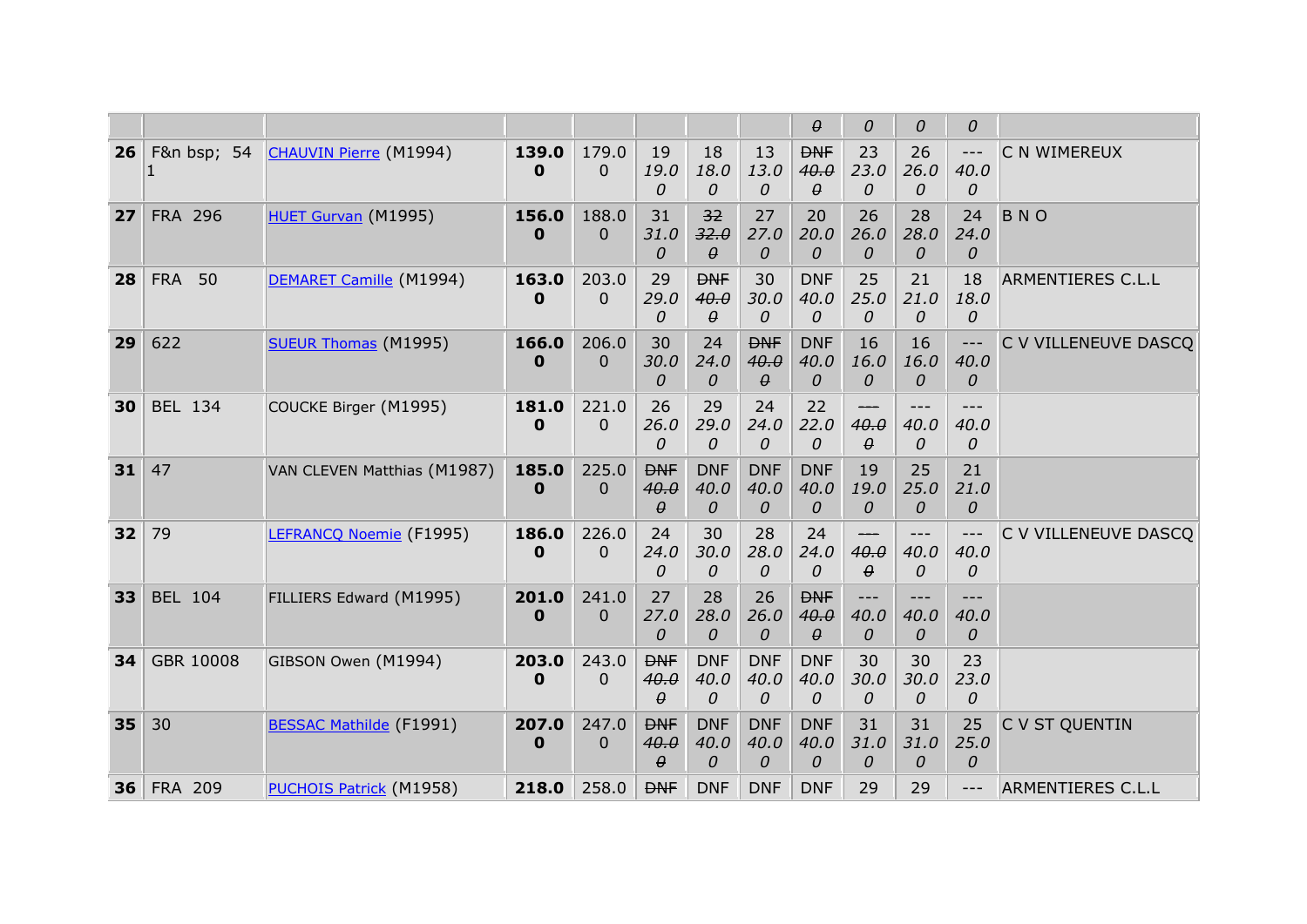|    |                |                                |                      |                         |                                |                                |                                | $\theta$                       | 0                       | 0                      | 0                                |                          |
|----|----------------|--------------------------------|----------------------|-------------------------|--------------------------------|--------------------------------|--------------------------------|--------------------------------|-------------------------|------------------------|----------------------------------|--------------------------|
| 26 | F&n bsp; 54    | <b>CHAUVIN Pierre (M1994)</b>  | 139.0<br>$\mathbf 0$ | 179.0<br>$\overline{0}$ | 19<br>19.0<br>0                | 18<br>18.0<br>0                | 13<br>13.0<br>0                | <b>DNF</b><br>40.0<br>$\theta$ | 23<br>23.0<br>0         | 26<br>26.0<br>$\theta$ | $\qquad \qquad - -$<br>40.0<br>0 | C N WIMEREUX             |
| 27 | <b>FRA 296</b> | HUET Gurvan (M1995)            | 156.0<br>$\mathbf 0$ | 188.0<br>$\Omega$       | 31<br>31.0<br>$\Omega$         | 32<br>32.0<br>$\theta$         | 27<br>27.0<br>0                | 20<br>20.0<br>0                | 26<br>26.0<br>0         | 28<br>28.0<br>0        | 24<br>24.0<br>0                  | <b>BNO</b>               |
| 28 | <b>FRA 50</b>  | DEMARET Camille (M1994)        | 163.0<br>$\mathbf 0$ | 203.0<br>0              | 29<br>29.0<br>0                | <b>DNF</b><br>40.0<br>θ        | 30<br>30.0<br>0                | <b>DNF</b><br>40.0<br>0        | 25<br>25.0<br>0         | 21<br>21.0<br>0        | 18<br>18.0<br>0                  | ARMENTIERES C.L.L        |
| 29 | 622            | <b>SUEUR Thomas (M1995)</b>    | 166.0<br>$\mathbf 0$ | 206.0<br>$\Omega$       | 30<br>30.0<br>0                | 24<br>24.0<br>0                | <b>DNF</b><br>40.0<br>$\theta$ | <b>DNF</b><br>40.0<br>0        | 16<br>16.0<br>0         | 16<br>16.0<br>0        | 40.0<br>0                        | C V VILLENEUVE DASCO     |
| 30 | <b>BEL 134</b> | COUCKE Birger (M1995)          | 181.0<br>$\mathbf 0$ | 221.0<br>$\Omega$       | 26<br>26.0<br>0                | 29<br>29.0<br>$\Omega$         | 24<br>24.0<br>0                | 22<br>22.0<br>0                | 40.0<br>$\theta$        | 40.0<br>0              | 40.0<br>0                        |                          |
| 31 | 47             | VAN CLEVEN Matthias (M1987)    | 185.0<br>$\bf{0}$    | 225.0<br>$\Omega$       | <b>DNF</b><br>40.0<br>$\theta$ | <b>DNF</b><br>40.0<br>0        | <b>DNF</b><br>40.0<br>$\Omega$ | <b>DNF</b><br>40.0<br>0        | 19<br>19.0<br>0         | 25<br>25.0<br>0        | 21<br>21.0<br>0                  |                          |
| 32 | 79             | LEFRANCO Noemie (F1995)        | 186.0<br>$\mathbf 0$ | 226.0<br>$\Omega$       | 24<br>24.0<br>0                | 30<br>30.0<br>$\Omega$         | 28<br>28.0<br>0                | 24<br>24.0<br>0                | ---<br>40.0<br>$\theta$ | $---$<br>40.0<br>0     | $---$<br>40.0<br>0               | C V VILLENEUVE DASCQ     |
| 33 | <b>BEL 104</b> | FILLIERS Edward (M1995)        | 201.0<br>$\mathbf 0$ | 241.0<br>$\Omega$       | 27<br>27.0<br>0                | 28<br>28.0<br>0                | 26<br>26.0<br>0                | <b>DNF</b><br>40.0<br>$\theta$ | $---$<br>40.0<br>0      | 40.0<br>0              | $---$<br>40.0<br>0               |                          |
| 34 | GBR 10008      | GIBSON Owen (M1994)            | 203.0<br>0           | 243.0<br>$\overline{0}$ | <b>DNF</b><br>40.0<br>$\theta$ | <b>DNF</b><br>40.0<br>0        | <b>DNF</b><br>40.0<br>0        | <b>DNF</b><br>40.0<br>$\Omega$ | 30<br>30.0<br>0         | 30<br>30.0<br>0        | 23<br>23.0<br>0                  |                          |
| 35 | 30             | <b>BESSAC Mathilde (F1991)</b> | 207.0<br>$\bf{0}$    | 247.0<br>$\Omega$       | <b>DNF</b><br>40.0<br>$\theta$ | <b>DNF</b><br>40.0<br>$\theta$ | <b>DNF</b><br>40.0<br>$\Omega$ | <b>DNF</b><br>40.0<br>$\Omega$ | 31<br>31.0<br>0         | 31<br>31.0<br>$\theta$ | 25<br>25.0<br>$\Omega$           | C V ST QUENTIN           |
| 36 | <b>FRA 209</b> | <b>PUCHOIS Patrick (M1958)</b> | 218.0                | 258.0                   | <b>DNF</b>                     | <b>DNF</b>                     | <b>DNF</b>                     | <b>DNF</b>                     | 29                      | 29                     | $---$                            | <b>ARMENTIERES C.L.L</b> |